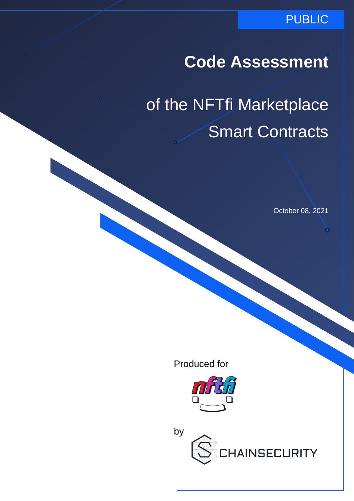### PUBLIC

# **Code Assessment**

# of the NFTfi Marketplace Smart Contracts

October 08, 2021

Produced for



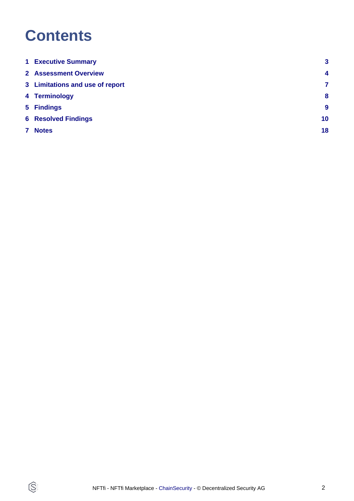# **Contents**

 $\circledS$ 

| <b>1 Executive Summary</b>      | $\mathbf{3}$     |
|---------------------------------|------------------|
| <b>2 Assessment Overview</b>    | $\overline{4}$   |
| 3 Limitations and use of report | 7                |
| 4 Terminology                   | 8                |
| 5 Findings                      | $\boldsymbol{9}$ |
| <b>6 Resolved Findings</b>      | 10 <sup>°</sup>  |
| <b>Notes</b>                    | 18               |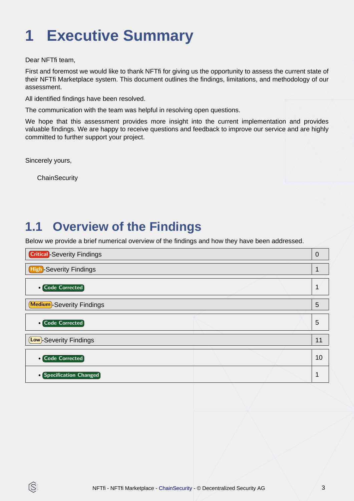# <span id="page-2-0"></span>**1 Executive Summary**

Dear NFTfi team,

First and foremost we would like to thank NFTfi for giving us the opportunity to assess the current state of their NFTfi Marketplace system. This document outlines the findings, limitations, and methodology of our assessment.

All identified findings have been resolved.

The communication with the team was helpful in resolving open questions.

We hope that this assessment provides more insight into the current implementation and provides valuable findings. We are happy to receive questions and feedback to improve our service and are highly committed to further support your project.

Sincerely yours,

IS.

**ChainSecurity** 

## **1.1 Overview of the Findings**

Below we provide a brief numerical overview of the findings and how they have been addressed.

| <b>Critical</b> -Severity Findings | $\mathbf 0$ |
|------------------------------------|-------------|
| <b>High-Severity Findings</b>      | 1           |
| <b>• Code Corrected</b>            |             |
| Medium-Severity Findings           | 5           |
| <b>• Code Corrected</b>            | 5           |
| <b>Low</b> )-Severity Findings     | 11          |
| <b>• Code Corrected</b>            | 10          |
| • Specification Changed            | 1           |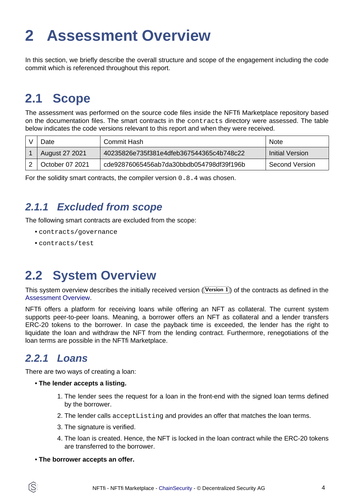# <span id="page-3-1"></span><span id="page-3-0"></span>**2 Assessment Overview**

In this section, we briefly describe the overall structure and scope of the engagement including the code commit which is referenced throughout this report.

## **2.1 Scope**

The assessment was performed on the source code files inside the NFTfi Marketplace repository based on the documentation files. The smart contracts in the contracts directory were assessed. The table below indicates the code versions relevant to this report and when they were received.

| Jate            | Commit Hash                              | <b>Note</b>     |
|-----------------|------------------------------------------|-----------------|
| August 27 2021  | 40235826e735f381e4dfeb367544365c4b748c22 | Initial Version |
| October 07 2021 | cde92876065456ab7da30bbdb054798df39f196b | Second Version  |

For the solidity smart contracts, the compiler version 0.8.4 was chosen.

### **2.1.1 Excluded from scope**

The following smart contracts are excluded from the scope:

- contracts/governance
- contracts/test

## **2.2 System Overview**

This system overview describes the initially received version ( Version 1 ) of the contracts as defined in the [Assessment Overview](#page-3-1).

NFTfi offers a platform for receiving loans while offering an NFT as collateral. The current system supports peer-to-peer loans. Meaning, a borrower offers an NFT as collateral and a lender transfers ERC-20 tokens to the borrower. In case the payback time is exceeded, the lender has the right to liquidate the loan and withdraw the NFT from the lending contract. Furthermore, renegotiations of the loan terms are possible in the NFTfi Marketplace.

### **2.2.1 Loans**

There are two ways of creating a loan:

- **The lender accepts a listing.**
	- 1. The lender sees the request for a loan in the front-end with the signed loan terms defined by the borrower.
	- 2. The lender calls acceptListing and provides an offer that matches the loan terms.
	- 3. The signature is verified.
	- 4. The loan is created. Hence, the NFT is locked in the loan contract while the ERC-20 tokens are transferred to the borrower.

#### • **The borrower accepts an offer.**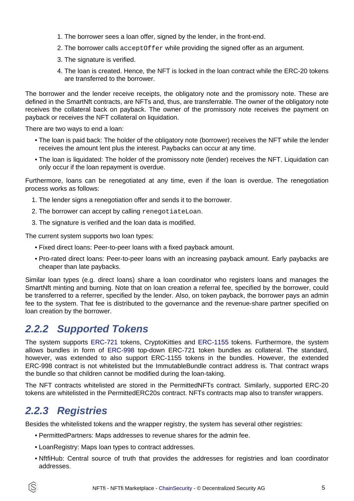- 1. The borrower sees a loan offer, signed by the lender, in the front-end.
- 2. The borrower calls acceptOffer while providing the signed offer as an argument.
- 3. The signature is verified.
- 4. The loan is created. Hence, the NFT is locked in the loan contract while the ERC-20 tokens are transferred to the borrower.

The borrower and the lender receive receipts, the obligatory note and the promissory note. These are defined in the SmartNft contracts, are NFTs and, thus, are transferrable. The owner of the obligatory note receives the collateral back on payback. The owner of the promissory note receives the payment on payback or receives the NFT collateral on liquidation.

There are two ways to end a loan:

- The loan is paid back: The holder of the obligatory note (borrower) receives the NFT while the lender receives the amount lent plus the interest. Paybacks can occur at any time.
- The loan is liquidated: The holder of the promissory note (lender) receives the NFT. Liquidation can only occur if the loan repayment is overdue.

Furthermore, loans can be renegotiated at any time, even if the loan is overdue. The renegotiation process works as follows:

- 1. The lender signs a renegotiation offer and sends it to the borrower.
- 2. The borrower can accept by calling renegotiateLoan.
- 3. The signature is verified and the loan data is modified.

The current system supports two loan types:

- Fixed direct loans: Peer-to-peer loans with a fixed payback amount.
- Pro-rated direct loans: Peer-to-peer loans with an increasing payback amount. Early paybacks are cheaper than late paybacks.

Similar loan types (e.g. direct loans) share a loan coordinator who registers loans and manages the SmartNft minting and burning. Note that on loan creation a referral fee, specified by the borrower, could be transferred to a referrer, specified by the lender. Also, on token payback, the borrower pays an admin fee to the system. That fee is distributed to the governance and the revenue-share partner specified on loan creation by the borrower.

### **2.2.2 Supported Tokens**

The system support[s ERC-721](https://eips.ethereum.org/EIPS/eip-721) tokens, CryptoKitties a[nd ERC-1155](https://eips.ethereum.org/EIPS/eip-1155) tokens. Furthermore, the system allows bundles in form [of ERC-998](https://eips.ethereum.org/EIPS/eip-998) top-down ERC-721 token bundles as collateral. The standard, however, was extended to also support ERC-1155 tokens in the bundles. However, the extended ERC-998 contract is not whitelisted but the ImmutableBundle contract address is. That contract wraps the bundle so that children cannot be modified during the loan-taking.

The NFT contracts whitelisted are stored in the PermittedNFTs contract. Similarly, supported ERC-20 tokens are whitelisted in the PermittedERC20s contract. NFTs contracts map also to transfer wrappers.

### **2.2.3 Registries**

Besides the whitelisted tokens and the wrapper registry, the system has several other registries:

- PermittedPartners: Maps addresses to revenue shares for the admin fee.
- LoanRegistry: Maps loan types to contract addresses.
- NftfiHub: Central source of truth that provides the addresses for registries and loan coordinator addresses.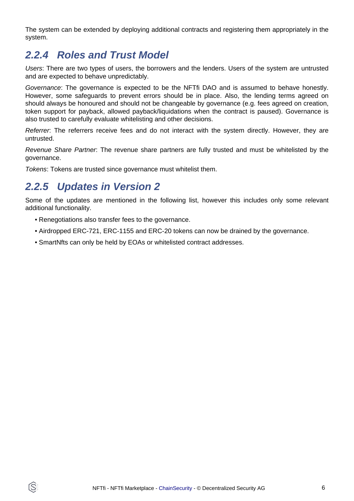The system can be extended by deploying additional contracts and registering them appropriately in the system.

### **2.2.4 Roles and Trust Model**

Users: There are two types of users, the borrowers and the lenders. Users of the system are untrusted and are expected to behave unpredictably.

Governance: The governance is expected to be the NFTfi DAO and is assumed to behave honestly. However, some safeguards to prevent errors should be in place. Also, the lending terms agreed on should always be honoured and should not be changeable by governance (e.g. fees agreed on creation, token support for payback, allowed payback/liquidations when the contract is paused). Governance is also trusted to carefully evaluate whitelisting and other decisions.

Referrer: The referrers receive fees and do not interact with the system directly. However, they are untrusted.

Revenue Share Partner: The revenue share partners are fully trusted and must be whitelisted by the governance.

Tokens: Tokens are trusted since governance must whitelist them.

### **2.2.5 Updates in Version 2**

ĺS

Some of the updates are mentioned in the following list, however this includes only some relevant additional functionality.

- Renegotiations also transfer fees to the governance.
- Airdropped ERC-721, ERC-1155 and ERC-20 tokens can now be drained by the governance.
- SmartNfts can only be held by EOAs or whitelisted contract addresses.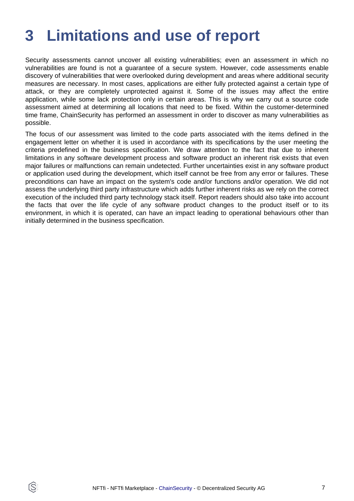# <span id="page-6-0"></span>**3 Limitations and use of report**

Security assessments cannot uncover all existing vulnerabilities; even an assessment in which no vulnerabilities are found is not a guarantee of a secure system. However, code assessments enable discovery of vulnerabilities that were overlooked during development and areas where additional security measures are necessary. In most cases, applications are either fully protected against a certain type of attack, or they are completely unprotected against it. Some of the issues may affect the entire application, while some lack protection only in certain areas. This is why we carry out a source code assessment aimed at determining all locations that need to be fixed. Within the customer-determined time frame, ChainSecurity has performed an assessment in order to discover as many vulnerabilities as possible.

The focus of our assessment was limited to the code parts associated with the items defined in the engagement letter on whether it is used in accordance with its specifications by the user meeting the criteria predefined in the business specification. We draw attention to the fact that due to inherent limitations in any software development process and software product an inherent risk exists that even major failures or malfunctions can remain undetected. Further uncertainties exist in any software product or application used during the development, which itself cannot be free from any error or failures. These preconditions can have an impact on the system's code and/or functions and/or operation. We did not assess the underlying third party infrastructure which adds further inherent risks as we rely on the correct execution of the included third party technology stack itself. Report readers should also take into account the facts that over the life cycle of any software product changes to the product itself or to its environment, in which it is operated, can have an impact leading to operational behaviours other than initially determined in the business specification.

ÍS.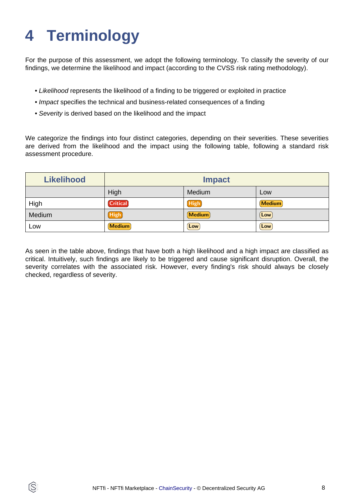# <span id="page-7-0"></span>**4 Terminology**

ĺS

For the purpose of this assessment, we adopt the following terminology. To classify the severity of our findings, we determine the likelihood and impact (according to the CVSS risk rating methodology).

- Likelihood represents the likelihood of a finding to be triggered or exploited in practice
- Impact specifies the technical and business-related consequences of a finding
- Severity is derived based on the likelihood and the impact

We categorize the findings into four distinct categories, depending on their severities. These severities are derived from the likelihood and the impact using the following table, following a standard risk assessment procedure.

| <b>Likelihood</b> | <b>Impact</b>   |             |               |
|-------------------|-----------------|-------------|---------------|
|                   | High            | Medium      | Low           |
| High              | <b>Critical</b> | <b>High</b> | <b>Medium</b> |
| Medium            | High            | Medium      | $\lfloor$ Low |
| Low               | <b>Medium</b>   | Low         | Low           |

As seen in the table above, findings that have both a high likelihood and a high impact are classified as critical. Intuitively, such findings are likely to be triggered and cause significant disruption. Overall, the severity correlates with the associated risk. However, every finding's risk should always be closely checked, regardless of severity.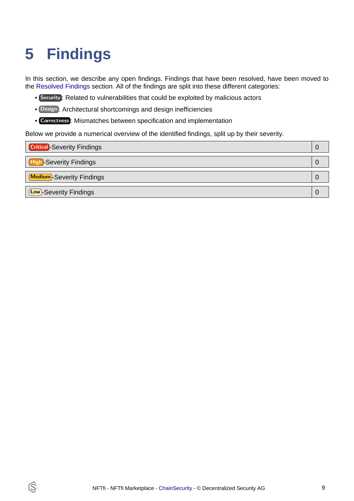# <span id="page-8-1"></span><span id="page-8-0"></span>**5 Findings**

Ç

In this section, we describe any open findings. Findings that have been resolved, have been moved to the [Resolved Findings](#page-9-1) section. All of the findings are split into these different categories:

- Security : Related to vulnerabilities that could be exploited by malicious actors
- Design : Architectural shortcomings and design inefficiencies
- Correctness : Mismatches between specification and implementation

Below we provide a numerical overview of the identified findings, split up by their severity.

| <b>Critical</b> -Severity Findings | U |
|------------------------------------|---|
| <b>High-Severity Findings</b>      |   |
| <b>Medium</b> -Severity Findings   |   |
| <b>Low</b> -Severity Findings      |   |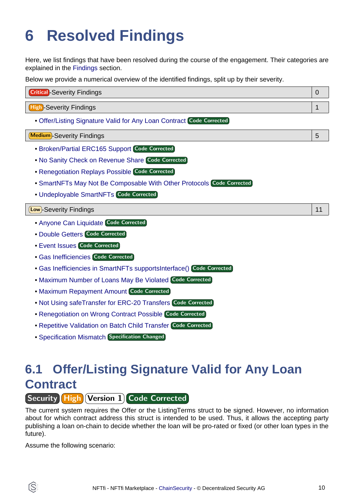# <span id="page-9-1"></span><span id="page-9-0"></span>**6 Resolved Findings**

Here, we list findings that have been resolved during the course of the engagement. Their categories are explained in the [Findings](#page-8-1) section.

Below we provide a numerical overview of the identified findings, split up by their severity.

| <b>Critical</b> -Severity Findings |  |
|------------------------------------|--|
| <b>D</b> -Severity Findings        |  |

• [Offer/Listing Signature Valid for Any Loan Contract](#page-9-2) Code Corrected

Medium -Severity Findings 5

- [Broken/Partial ERC165 Support](#page-10-0) Code Corrected
- [No Sanity Check on Revenue Share](#page-11-0) Code Corrected
- [Renegotiation Replays Possible](#page-11-1) Code Corrected
- [SmartNFTs May Not Be Composable With Other Protocols](#page-11-2) Code Corrected
- [Undeployable SmartNFTs](#page-12-0) Code Corrected

#### Low -Severity Findings 11

- **[Anyone Can Liquidate](#page-12-1) Code Corrected**
- [Double Getters](#page-13-0) Code Corrected
- [Event Issues](#page-13-1) Code Corrected
- [Gas Inefficiencies](#page-13-2) Code Corrected
- [Gas Inefficiencies in SmartNFTs supportsInterface\(\)](#page-14-0) Code Corrected
- [Maximum Number of Loans May Be Violated](#page-14-1) Code Corrected
- [Maximum Repayment Amount](#page-15-0) Code Corrected
- [Not Using safeTransfer for ERC-20 Transfers](#page-15-1) Code Corrected
- [Renegotiation on Wrong Contract Possible](#page-15-2) Code Corrected
- [Repetitive Validation on Batch Child Transfer](#page-16-0) Code Corrected
- [Specification Mismatch](#page-16-1) Specification Changed

### <span id="page-9-2"></span>**6.1 Offer/Listing Signature Valid for Any Loan Contract** Security High Version 1 Code Corrected

The current system requires the Offer or the ListingTerms struct to be signed. However, no information about for which contract address this struct is intended to be used. Thus, it allows the accepting party publishing a loan on-chain to decide whether the loan will be pro-rated or fixed (or other loan types in the future).

Assume the following scenario:

ĺS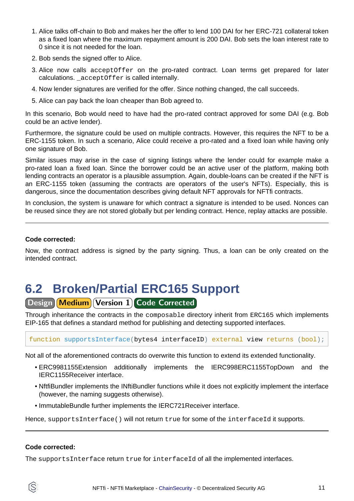- 1. Alice talks off-chain to Bob and makes her the offer to lend 100 DAI for her ERC-721 collateral token as a fixed loan where the maximum repayment amount is 200 DAI. Bob sets the loan interest rate to 0 since it is not needed for the loan.
- 2. Bob sends the signed offer to Alice.
- 3. Alice now calls acceptOffer on the pro-rated contract. Loan terms get prepared for later calculations. acceptOffer is called internally.
- 4. Now lender signatures are verified for the offer. Since nothing changed, the call succeeds.
- 5. Alice can pay back the loan cheaper than Bob agreed to.

In this scenario, Bob would need to have had the pro-rated contract approved for some DAI (e.g. Bob could be an active lender).

Furthermore, the signature could be used on multiple contracts. However, this requires the NFT to be a ERC-1155 token. In such a scenario, Alice could receive a pro-rated and a fixed loan while having only one signature of Bob.

Similar issues may arise in the case of signing listings where the lender could for example make a pro-rated loan a fixed loan. Since the borrower could be an active user of the platform, making both lending contracts an operator is a plausible assumption. Again, double-loans can be created if the NFT is an ERC-1155 token (assuming the contracts are operators of the user's NFTs). Especially, this is dangerous, since the documentation describes giving default NFT approvals for NFTfi contracts.

In conclusion, the system is unaware for which contract a signature is intended to be used. Nonces can be reused since they are not stored globally but per lending contract. Hence, replay attacks are possible.

#### **Code corrected:**

Now, the contract address is signed by the party signing. Thus, a loan can be only created on the intended contract.

## <span id="page-10-0"></span>**6.2 Broken/Partial ERC165 Support**

**Design Medium Version 1 Code Corrected** 

Through inheritance the contracts in the composable directory inherit from ERC165 which implements EIP-165 that defines a standard method for publishing and detecting supported interfaces.

function supportsInterface(bytes4 interfaceID) external view returns (bool);

Not all of the aforementioned contracts do overwrite this function to extend its extended functionality.

- ERC9981155Extension additionally implements the IERC998ERC1155TopDown and the IERC1155Receiver interface.
- NftfiBundler implements the INftiBundler functions while it does not explicitly implement the interface (however, the naming suggests otherwise).
- ImmutableBundle further implements the IERC721Receiver interface.

Hence, supportsInterface() will not return true for some of the interfaceId it supports.

#### **Code corrected:**

The supportsInterface return true for interfaceId of all the implemented interfaces.

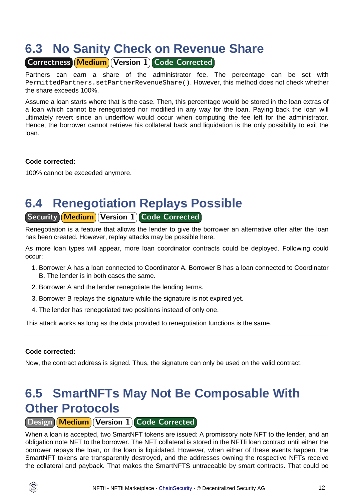### <span id="page-11-0"></span>**6.3 No Sanity Check on Revenue Share Correctness Medium Version 1 Code Corrected**

Partners can earn a share of the administrator fee. The percentage can be set with PermittedPartners.setPartnerRevenueShare(). However, this method does not check whether the share exceeds 100%.

Assume a loan starts where that is the case. Then, this percentage would be stored in the loan extras of a loan which cannot be renegotiated nor modified in any way for the loan. Paying back the loan will ultimately revert since an underflow would occur when computing the fee left for the administrator. Hence, the borrower cannot retrieve his collateral back and liquidation is the only possibility to exit the loan.

#### **Code corrected:**

100% cannot be exceeded anymore.

# <span id="page-11-1"></span>**6.4 Renegotiation Replays Possible**

#### Security Medium Version 1 Code Corrected

Renegotiation is a feature that allows the lender to give the borrower an alternative offer after the loan has been created. However, replay attacks may be possible here.

As more loan types will appear, more loan coordinator contracts could be deployed. Following could occur:

- 1. Borrower A has a loan connected to Coordinator A. Borrower B has a loan connected to Coordinator B. The lender is in both cases the same.
- 2. Borrower A and the lender renegotiate the lending terms.
- 3. Borrower B replays the signature while the signature is not expired yet.
- 4. The lender has renegotiated two positions instead of only one.

This attack works as long as the data provided to renegotiation functions is the same.

#### **Code corrected:**

Now, the contract address is signed. Thus, the signature can only be used on the valid contract.

# <span id="page-11-2"></span>**6.5 SmartNFTs May Not Be Composable With Other Protocols**

#### Design Medium Version 1 Code Corrected

When a loan is accepted, two SmartNFT tokens are issued: A promissory note NFT to the lender, and an obligation note NFT to the borrower. The NFT collateral is stored in the NFTfi loan contract until either the borrower repays the loan, or the loan is liquidated. However, when either of these events happen, the SmartNFT tokens are transparently destroyed, and the addresses owning the respective NFTs receive the collateral and payback. That makes the SmartNFTS untraceable by smart contracts. That could be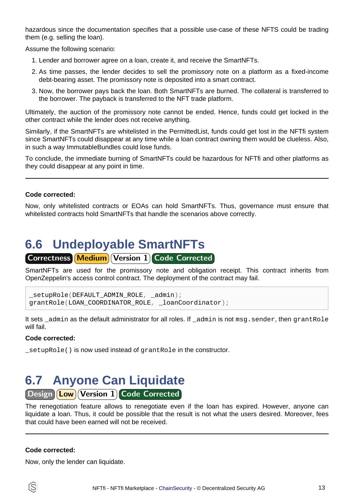hazardous since the documentation specifies that a possible use-case of these NFTS could be trading them (e.g. selling the loan).

Assume the following scenario:

- 1. Lender and borrower agree on a loan, create it, and receive the SmartNFTs.
- 2. As time passes, the lender decides to sell the promissory note on a platform as a fixed-income debt-bearing asset. The promissory note is deposited into a smart contract.
- 3. Now, the borrower pays back the loan. Both SmartNFTs are burned. The collateral is transferred to the borrower. The payback is transferred to the NFT trade platform.

Ultimately, the auction of the promissory note cannot be ended. Hence, funds could get locked in the other contract while the lender does not receive anything.

Similarly, if the SmartNFTs are whitelisted in the PermittedList, funds could get lost in the NFTfi system since SmartNFTs could disappear at any time while a loan contract owning them would be clueless. Also, in such a way ImmutableBundles could lose funds.

To conclude, the immediate burning of SmartNFTs could be hazardous for NFTfi and other platforms as they could disappear at any point in time.

#### **Code corrected:**

Now, only whitelisted contracts or EOAs can hold SmartNFTs. Thus, governance must ensure that whitelisted contracts hold SmartNFTs that handle the scenarios above correctly.

### <span id="page-12-0"></span>**6.6 Undeployable SmartNFTs**

#### **Correctness Medium Version 1 Code Corrected**

SmartNFTs are used for the promissory note and obligation receipt. This contract inherits from OpenZeppelin's access control contract. The deployment of the contract may fail.

```
_setupRole(DEFAULT_ADMIN_ROLE, _admin);
grantRole(LOAN_COORDINATOR_ROLE, _loanCoordinator);
```
It sets \_admin as the default administrator for all roles. If \_admin is not msg.sender, then grantRole will fail.

#### **Code corrected:**

\_setupRole() is now used instead of grantRole in the constructor.

## <span id="page-12-1"></span>**6.7 Anyone Can Liquidate**

Design **Low** Version 1 Code Corrected

The renegotiation feature allows to renegotiate even if the loan has expired. However, anyone can liquidate a loan. Thus, it could be possible that the result is not what the users desired. Moreover, fees that could have been earned will not be received.

#### **Code corrected:**

Now, only the lender can liquidate.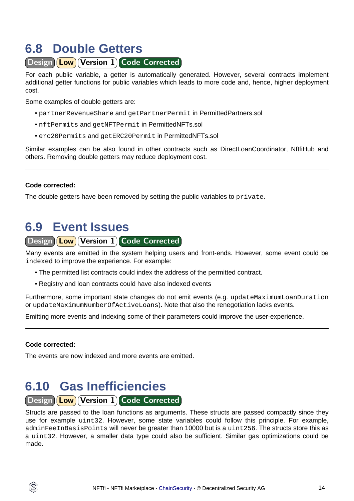## <span id="page-13-0"></span>**6.8 Double Getters**

Design **Low** Version 1 Code Corrected

For each public variable, a getter is automatically generated. However, several contracts implement additional getter functions for public variables which leads to more code and, hence, higher deployment cost.

Some examples of double getters are:

- partnerRevenueShare and getPartnerPermit in PermittedPartners.sol
- nftPermits and getNFTPermit in PermittedNFTs.sol
- erc20Permits and getERC20Permit in PermittedNFTs.sol

Similar examples can be also found in other contracts such as DirectLoanCoordinator, NftfiHub and others. Removing double getters may reduce deployment cost.

#### **Code corrected:**

The double getters have been removed by setting the public variables to private.

### <span id="page-13-1"></span>**6.9 Event Issues**

Design **Low** Version 1 Code Corrected

Many events are emitted in the system helping users and front-ends. However, some event could be indexed to improve the experience. For example:

- The permitted list contracts could index the address of the permitted contract.
- Registry and loan contracts could have also indexed events

Furthermore, some important state changes do not emit events (e.g. updateMaximumLoanDuration or updateMaximumNumberOfActiveLoans). Note that also the renegotiation lacks events.

Emitting more events and indexing some of their parameters could improve the user-experience.

#### **Code corrected:**

ĺS

The events are now indexed and more events are emitted.

### <span id="page-13-2"></span>**6.10 Gas Inefficiencies**

Design Low Version 1 Code Corrected

Structs are passed to the loan functions as arguments. These structs are passed compactly since they use for example uint32. However, some state variables could follow this principle. For example, adminFeeInBasisPoints will never be greater than 10000 but is a uint256. The structs store this as a uint32. However, a smaller data type could also be sufficient. Similar gas optimizations could be made.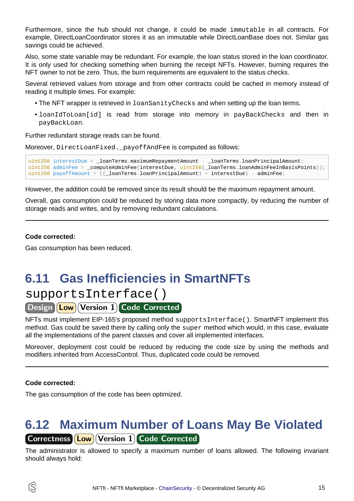Furthermore, since the hub should not change, it could be made immutable in all contracts. For example, DirectLoanCoordinator stores it as an immutable while DirectLoanBase does not. Similar gas savings could be achieved.

Also, some state variable may be redundant. For example, the loan status stored in the loan coordinator. It is only used for checking something when burning the receipt NFTs. However, burning requires the NFT owner to not be zero. Thus, the burn requirements are equivalent to the status checks.

Several retrieved values from storage and from other contracts could be cached in memory instead of reading it multiple times. For example:

- The NFT wrapper is retrieved in loanSanityChecks and when setting up the loan terms.
- loanIdToLoan[id] is read from storage into memory in payBackChecks and then in payBackLoan.

Further redundant storage reads can be found.

Moreover, DirectLoanFixed.\_payoffAndFee is computed as follows:

uint256 interestDue = \_loanTerms.maximumRepaymentAmount - \_loanTerms.loanPrincipalAmount; uint256 adminFee = \_computeAdminFee(interestDue, uint256(\_loanTerms.loanAdminFeeInBasisPoints)); uint256 payoffAmount = ((\_loanTerms.loanPrincipalAmount) + interestDue) - adminFee;

However, the addition could be removed since its result should be the maximum repayment amount.

Overall, gas consumption could be reduced by storing data more compactly, by reducing the number of storage reads and writes, and by removing redundant calculations.

#### **Code corrected:**

Gas consumption has been reduced.

## <span id="page-14-0"></span>**6.11 Gas Inefficiencies in SmartNFTs**

supportsInterface()

Design **Low** Version 1 Code Corrected

NFTs must implement EIP-165's proposed method supportsInterface(). SmartNFT implement this method. Gas could be saved there by calling only the super method which would, in this case, evaluate all the implementations of the parent classes and cover all implemented interfaces.

Moreover, deployment cost could be reduced by reducing the code size by using the methods and modifiers inherited from AccessControl. Thus, duplicated code could be removed.

#### **Code corrected:**

The gas consumption of the code has been optimized.

### <span id="page-14-1"></span>**6.12 Maximum Number of Loans May Be Violated** Correctness **Low** Version 1 Code Corrected

The administrator is allowed to specify a maximum number of loans allowed. The following invariant should always hold:

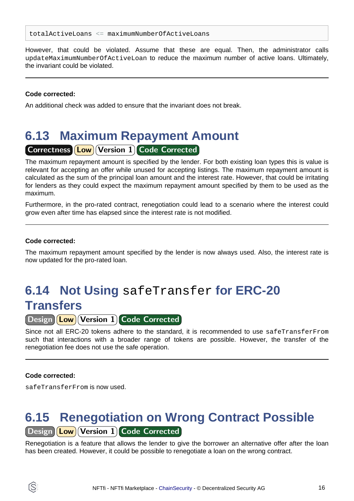totalActiveLoans <= maximumNumberOfActiveLoans

However, that could be violated. Assume that these are equal. Then, the administrator calls updateMaximumNumberOfActiveLoan to reduce the maximum number of active loans. Ultimately, the invariant could be violated.

#### **Code corrected:**

An additional check was added to ensure that the invariant does not break.

### <span id="page-15-0"></span>**6.13 Maximum Repayment Amount** Correctness **Low** Version 1 Code Corrected

The maximum repayment amount is specified by the lender. For both existing loan types this is value is relevant for accepting an offer while unused for accepting listings. The maximum repayment amount is calculated as the sum of the principal loan amount and the interest rate. However, that could be irritating for lenders as they could expect the maximum repayment amount specified by them to be used as the maximum.

Furthermore, in the pro-rated contract, renegotiation could lead to a scenario where the interest could grow even after time has elapsed since the interest rate is not modified.

#### **Code corrected:**

The maximum repayment amount specified by the lender is now always used. Also, the interest rate is now updated for the pro-rated loan.

# <span id="page-15-1"></span>**6.14 Not Using** safeTransfer **for ERC-20 Transfers**

Design **Low** Version 1 Code Corrected

Since not all ERC-20 tokens adhere to the standard, it is recommended to use safeTransferFrom such that interactions with a broader range of tokens are possible. However, the transfer of the renegotiation fee does not use the safe operation.

#### **Code corrected:**

safeTransferFrom is now used.

### <span id="page-15-2"></span>**6.15 Renegotiation on Wrong Contract Possible** Design **Low** Version 1 Code Corrected

Renegotiation is a feature that allows the lender to give the borrower an alternative offer after the loan has been created. However, it could be possible to renegotiate a loan on the wrong contract.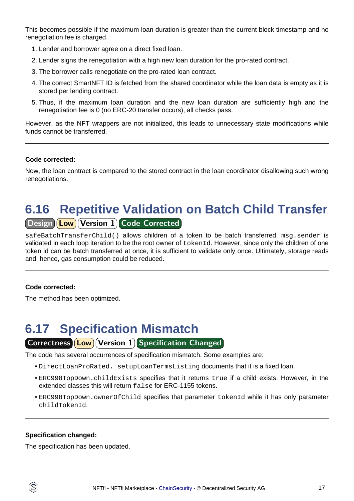This becomes possible if the maximum loan duration is greater than the current block timestamp and no renegotiation fee is charged.

- 1. Lender and borrower agree on a direct fixed loan.
- 2. Lender signs the renegotiation with a high new loan duration for the pro-rated contract.
- 3. The borrower calls renegotiate on the pro-rated loan contract.
- 4. The correct SmartNFT ID is fetched from the shared coordinator while the loan data is empty as it is stored per lending contract.
- 5. Thus, if the maximum loan duration and the new loan duration are sufficiently high and the renegotiation fee is 0 (no ERC-20 transfer occurs), all checks pass.

However, as the NFT wrappers are not initialized, this leads to unnecessary state modifications while funds cannot be transferred.

#### **Code corrected:**

Now, the loan contract is compared to the stored contract in the loan coordinator disallowing such wrong renegotiations.

### <span id="page-16-0"></span>**6.16 Repetitive Validation on Batch Child Transfer** Design (Low) Version 1 Code Corrected

safeBatchTransferChild() allows children of a token to be batch transferred. msg.sender is validated in each loop iteration to be the root owner of  $tokenId$ . However, since only the children of one token id can be batch transferred at once, it is sufficient to validate only once. Ultimately, storage reads and, hence, gas consumption could be reduced.

#### **Code corrected:**

The method has been optimized.

## <span id="page-16-1"></span>**6.17 Specification Mismatch**

#### **Correctness Low Version 1 Specification Changed**

The code has several occurrences of specification mismatch. Some examples are:

- DirectLoanProRated.\_setupLoanTermsListing documents that it is a fixed loan.
- ERC998TopDown.childExists specifies that it returns true if a child exists. However, in the extended classes this will return false for ERC-1155 tokens.
- ERC998TopDown.ownerOfChild specifies that parameter tokenId while it has only parameter childTokenId.

#### **Specification changed:**

ĺS

The specification has been updated.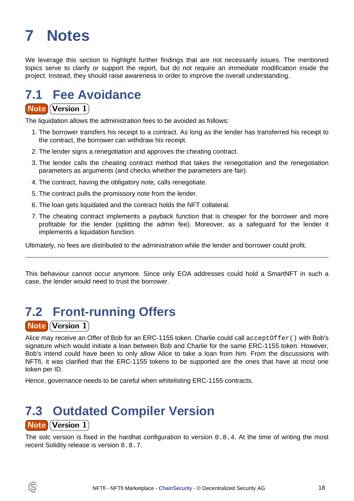# <span id="page-17-0"></span>**7 Notes**

We leverage this section to highlight further findings that are not necessarily issues. The mentioned topics serve to clarify or support the report, but do not require an immediate modification inside the project. Instead, they should raise awareness in order to improve the overall understanding.

# **7.1 Fee Avoidance**

#### **Note Version 1**

The liquidation allows the administration fees to be avoided as follows:

- 1. The borrower transfers his receipt to a contract. As long as the lender has transferred his receipt to the contract, the borrower can withdraw his receipt.
- 2. The lender signs a renegotiation and approves the cheating contract.
- 3. The lender calls the cheating contract method that takes the renegotiation and the renegotiation parameters as arguments (and checks whether the parameters are fair).
- 4. The contract, having the obligatory note, calls renegotiate.
- 5. The contract pulls the promissory note from the lender.
- 6. The loan gets liquidated and the contract holds the NFT collateral.
- 7. The cheating contract implements a payback function that is cheaper for the borrower and more profitable for the lender (splitting the admin fee). Moreover, as a safeguard for the lender it implements a liquidation function.

Ultimately, no fees are distributed to the administration while the lender and borrower could profit.

This behaviour cannot occur anymore. Since only EOA addresses could hold a SmartNFT in such a case, the lender would need to trust the borrower.

### **7.2 Front-running Offers**

#### **Note Version 1**

Alice may receive an Offer of Bob for an ERC-1155 token. Charlie could call acceptOffer() with Bob's signature which would initiate a loan between Bob and Charlie for the same ERC-1155 token. However, Bob's intend could have been to only allow Alice to take a loan from him. From the discussions with NFTfi, it was clarified that the ERC-1155 tokens to be supported are the ones that have at most one token per ID.

Hence, governance needs to be careful when whitelisting ERC-1155 contracts.

# **7.3 Outdated Compiler Version**

**Note Version 1** 

ÍŜ

The solc version is fixed in the hardhat configuration to version  $0.8.4$ . At the time of writing the most recent Solidity release is version 0.8.7.